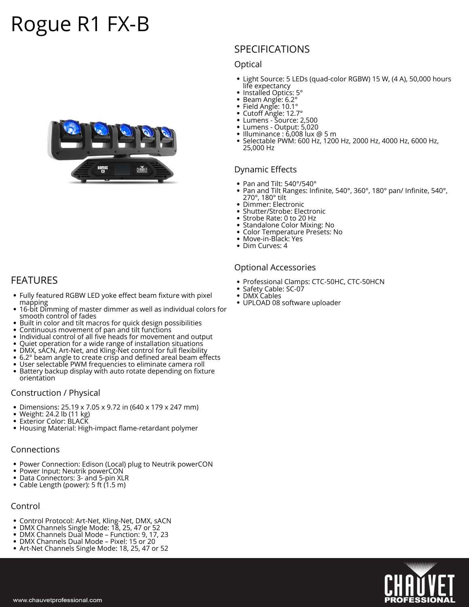# **Rogue R1 FX-B**



# **SPECIFICATIONS**

#### **Optical**

- Light Source: 5 LEDs (quad-color RGBW) 15 W, (4 A), 50,000 hours life expectancy
- Installed Optics: 5°
- $\bullet$ Beam Angle: 6.2°
- Field Angle: 10.1° ٠
- Cutoff Angle: 12.7°
- Lumens Source: 2,500
- Lumens Output: 5,020
- $\bullet$  Illuminance : 6,008 lux @ 5 m Selectable PWM: 600 Hz, 1200 Hz, 2000 Hz, 4000 Hz, 6000 Hz,  $\bullet$ 25,000 Hz

#### **Dynamic Effects**

- Pan and Tilt: 540°/540°
- Pan and Tilt Ranges: Infinite, 540°, 360°, 180° pan/ Infinite, 540°, 270°, 180° tilt
- Dimmer: Electronic
- Shutter/Strobe: Electronic
- Strobe Rate: 0 to 20 Hz
- Standalone Color Mixing: No
- Color Temperature Presets: No
- $\bullet$ Move-in-Black: Yes
- Dim Curves: 4

#### **Optional Accessories**

- Professional Clamps: CTC-50HC, CTC-50HCN
- Safety Cable: SC-07
- $\bullet$ DMX Cables
- UPLOAD 08 software uploader

## **FEATURES**

- Fully featured RGBW LED yoke effect beam fixture with pixel mapping
- 16-bit Dimming of master dimmer as well as individual colors for smooth control of fades
- Built in color and tilt macros for quick design possibilities
- $\bullet$  Continuous movement of pan and tilt functions
- Individual control of all five heads for movement and output
- Quiet operation for a wide range of installation situations
- DMX, sACN, Art-Net, and Kling-Net control for full flexibility
- 6.2° beam angle to create crisp and defined areal beam effects
- User selectable PWM frequencies to eliminate camera roll Battery backup display with auto rotate depending on fixture orientation

#### **Construction / Physical**

- Dimensions: 25.19 x 7.05 x 9.72 in (640 x 179 x 247 mm)
- Weight: 24.2 lb (11 kg)  $\bullet$
- Exterior Color: BLACK
- Housing Material: High-impact flame-retardant polymer

#### **Connections**

- Power Connection: Edison (Local) plug to Neutrik powerCON
- Power Input: Neutrik powerCON
- Data Connectors: 3- and 5-pin XLR
- Cable Length (power): 5 ft (1.5 m)

### **Control**

- Control Protocol: Art-Net, Kling-Net, DMX, sACN
- DMX Channels Single Mode: 18, 25, 47 or 52
- DMX Channels Dual Mode Function: 9, 17, 23 DMX Channels Dual Mode – Pixel: 15 or 20
- Art-Net Channels Single Mode: 18, 25, 47 or 52